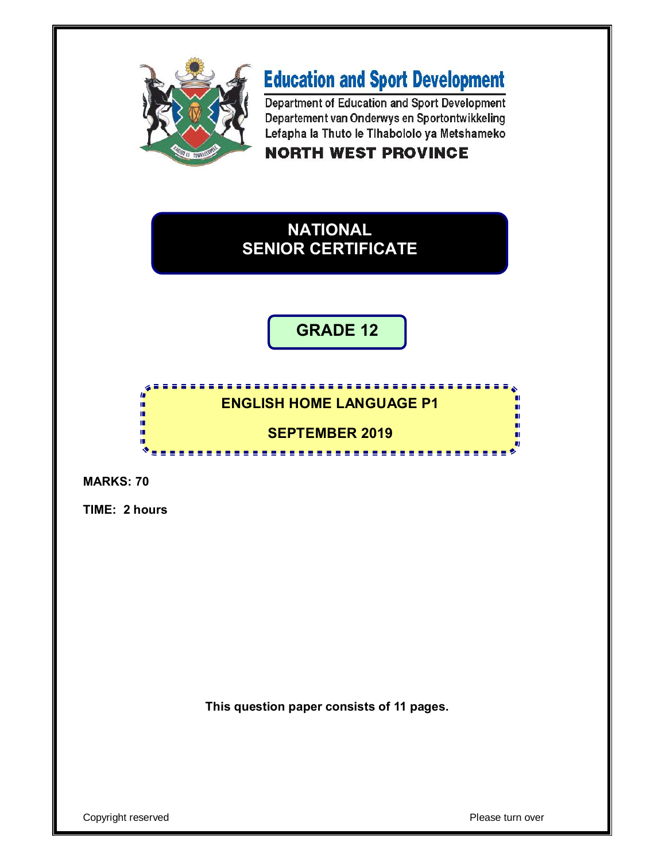

**ALC ALC** 

*<u>B B B B B</u>* 

# **Education and Sport Development**

Department of Education and Sport Development Departement van Onderwys en Sportontwikkeling Lefapha la Thuto le Tihabololo ya Metshameko

# **NORTH WEST PROVINCE**

# **NATIONAL SENIOR CERTIFICATE**

**GRADE 12**

---------------

# **ENGLISH HOME LANGUAGE P1**

# **SEPTEMBER 2019**

**MARKS: 70**

**TIME: 2 hours**

'n ú, I. í.

ú. œ

**This question paper consists of 11 pages.**

п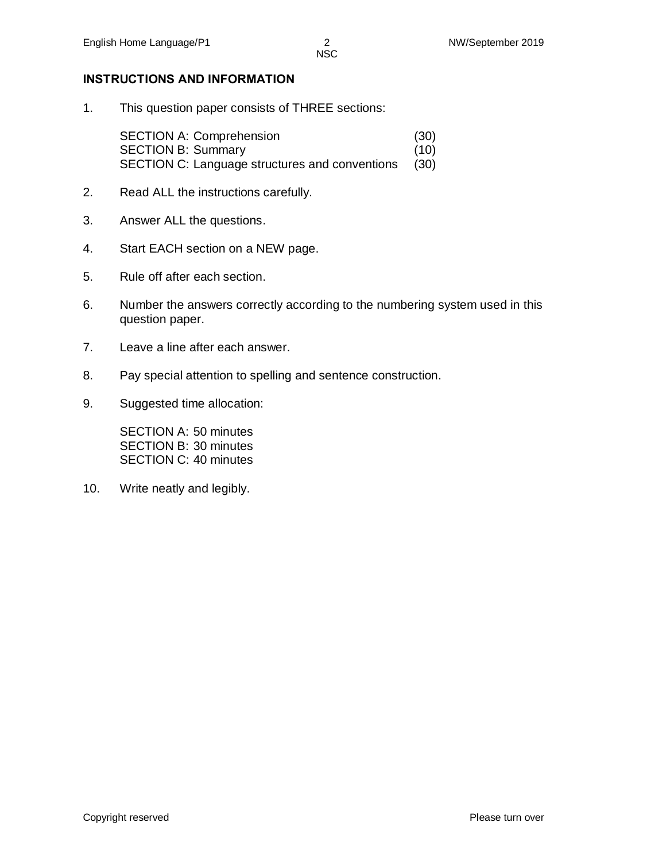#### **INSTRUCTIONS AND INFORMATION**

1. This question paper consists of THREE sections:

SECTION A: Comprehension (30) SECTION B: Summary (10) SECTION C: Language structures and conventions (30)

- 2. Read ALL the instructions carefully.
- 3. Answer ALL the questions.
- 4. Start EACH section on a NEW page.
- 5. Rule off after each section.
- 6. Number the answers correctly according to the numbering system used in this question paper.
- 7. Leave a line after each answer.
- 8. Pay special attention to spelling and sentence construction.
- 9. Suggested time allocation:

SECTION A: 50 minutes SECTION B: 30 minutes SECTION C: 40 minutes

10. Write neatly and legibly.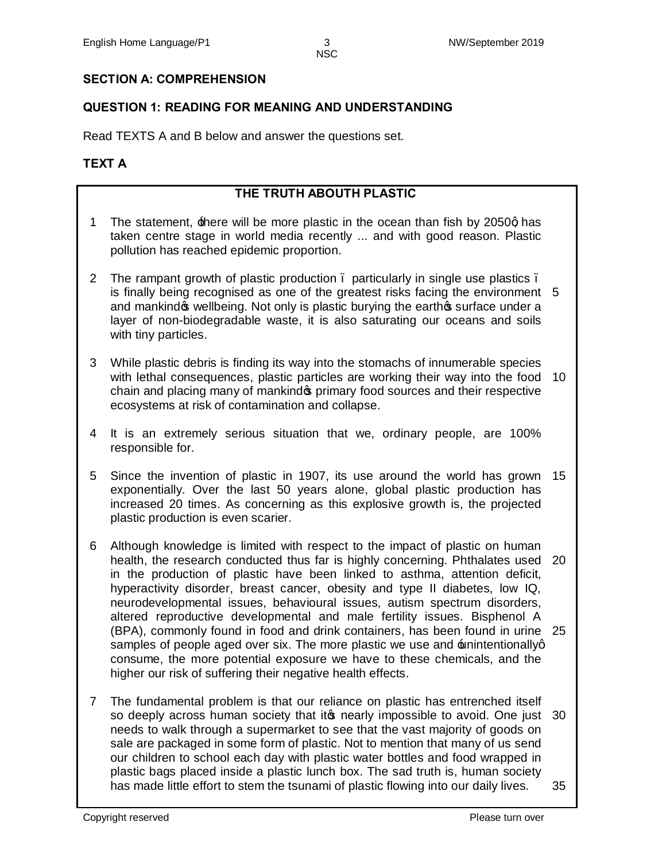# **SECTION A: COMPREHENSION**

# **QUESTION 1: READING FOR MEANING AND UNDERSTANDING**

Read TEXTS A and B below and answer the questions set.

# **TEXT A**

# **THE TRUTH ABOUTH PLASTIC**

- 1 The statement, there will be more plastic in the ocean than fish by 2050q has taken centre stage in world media recently ... and with good reason. Plastic pollution has reached epidemic proportion.
- 2 The rampant growth of plastic production . particularly in single use plastics . is finally being recognised as one of the greatest risks facing the environment 5 and mankind wellbeing. Not only is plastic burying the earth surface under a layer of non-biodegradable waste, it is also saturating our oceans and soils with tiny particles.
- 3 While plastic debris is finding its way into the stomachs of innumerable species with lethal consequences, plastic particles are working their way into the food 10 chain and placing many of mankind opprimary food sources and their respective ecosystems at risk of contamination and collapse.
- 4 It is an extremely serious situation that we, ordinary people, are 100% responsible for.
- 5 Since the invention of plastic in 1907, its use around the world has grown 15 exponentially. Over the last 50 years alone, global plastic production has increased 20 times. As concerning as this explosive growth is, the projected plastic production is even scarier.
- 6 Although knowledge is limited with respect to the impact of plastic on human health, the research conducted thus far is highly concerning. Phthalates used 20 in the production of plastic have been linked to asthma, attention deficit, hyperactivity disorder, breast cancer, obesity and type II diabetes, low IQ, neurodevelopmental issues, behavioural issues, autism spectrum disorders, altered reproductive developmental and male fertility issues. Bisphenol A (BPA), commonly found in food and drink containers, has been found in urine 25 samples of people aged over six. The more plastic we use and  $\pm$ nintentionallyg consume, the more potential exposure we have to these chemicals, and the higher our risk of suffering their negative health effects.
- 7 The fundamental problem is that our reliance on plastic has entrenched itself so deeply across human society that it t nearly impossible to avoid. One just 30 needs to walk through a supermarket to see that the vast majority of goods on sale are packaged in some form of plastic. Not to mention that many of us send our children to school each day with plastic water bottles and food wrapped in plastic bags placed inside a plastic lunch box. The sad truth is, human society has made little effort to stem the tsunami of plastic flowing into our daily lives. 35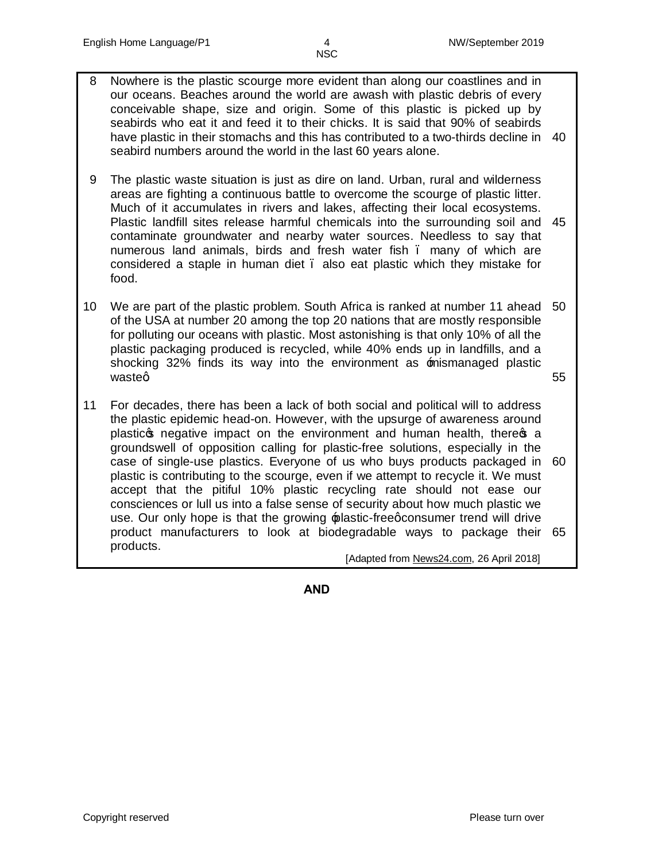- 8 Nowhere is the plastic scourge more evident than along our coastlines and in our oceans. Beaches around the world are awash with plastic debris of every conceivable shape, size and origin. Some of this plastic is picked up by seabirds who eat it and feed it to their chicks. It is said that 90% of seabirds have plastic in their stomachs and this has contributed to a two-thirds decline in 40 seabird numbers around the world in the last 60 years alone.
- 9 The plastic waste situation is just as dire on land. Urban, rural and wilderness areas are fighting a continuous battle to overcome the scourge of plastic litter. Much of it accumulates in rivers and lakes, affecting their local ecosystems. Plastic landfill sites release harmful chemicals into the surrounding soil and 45 contaminate groundwater and nearby water sources. Needless to say that numerous land animals, birds and fresh water fish – many of which are considered a staple in human diet – also eat plastic which they mistake for food.
- 10 We are part of the plastic problem. South Africa is ranked at number 11 ahead 50 of the USA at number 20 among the top 20 nations that are mostly responsible for polluting our oceans with plastic. Most astonishing is that only 10% of all the plastic packaging produced is recycled, while 40% ends up in landfills, and a shocking 32% finds its way into the environment as **mismanaged** plastic wasteg 55
- 11 For decades, there has been a lack of both social and political will to address the plastic epidemic head-on. However, with the upsurge of awareness around plastic<sub>s</sub> negative impact on the environment and human health, theres a groundswell of opposition calling for plastic-free solutions, especially in the case of single-use plastics. Everyone of us who buys products packaged in 60 plastic is contributing to the scourge, even if we attempt to recycle it. We must accept that the pitiful 10% plastic recycling rate should not ease our consciences or lull us into a false sense of security about how much plastic we use. Our only hope is that the growing  $\frac{1}{2}$  plastic-freeg consumer trend will drive product manufacturers to look at biodegradable ways to package their 65 products.

[Adapted from News24.com, 26 April 2018]

**AND**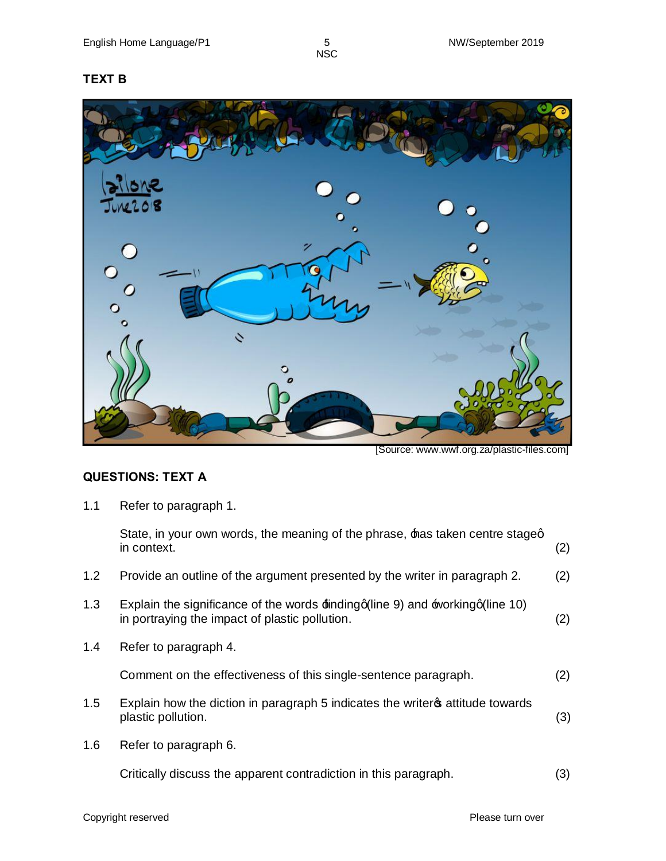# **TEXT B**



[Source: www.wwf.org.za/plastic-files.com]

# **QUESTIONS: TEXT A**

1.1 Refer to paragraph 1.

|     | State, in your own words, the meaning of the phrase, has taken centre staged<br>in context.                                                 | (2) |
|-----|---------------------------------------------------------------------------------------------------------------------------------------------|-----|
| 1.2 | Provide an outline of the argument presented by the writer in paragraph 2.                                                                  | (2) |
| 1.3 | Explain the significance of the words $\pm$ inding q(line 9) and $\pm$ working q(line 10)<br>in portraying the impact of plastic pollution. | (2) |
| 1.4 | Refer to paragraph 4.                                                                                                                       |     |
|     | Comment on the effectiveness of this single-sentence paragraph.                                                                             | (2) |
| 1.5 | Explain how the diction in paragraph 5 indicates the writer of attitude towards<br>plastic pollution.                                       | (3) |
| 1.6 | Refer to paragraph 6.                                                                                                                       |     |
|     | Critically discuss the apparent contradiction in this paragraph.                                                                            | (3) |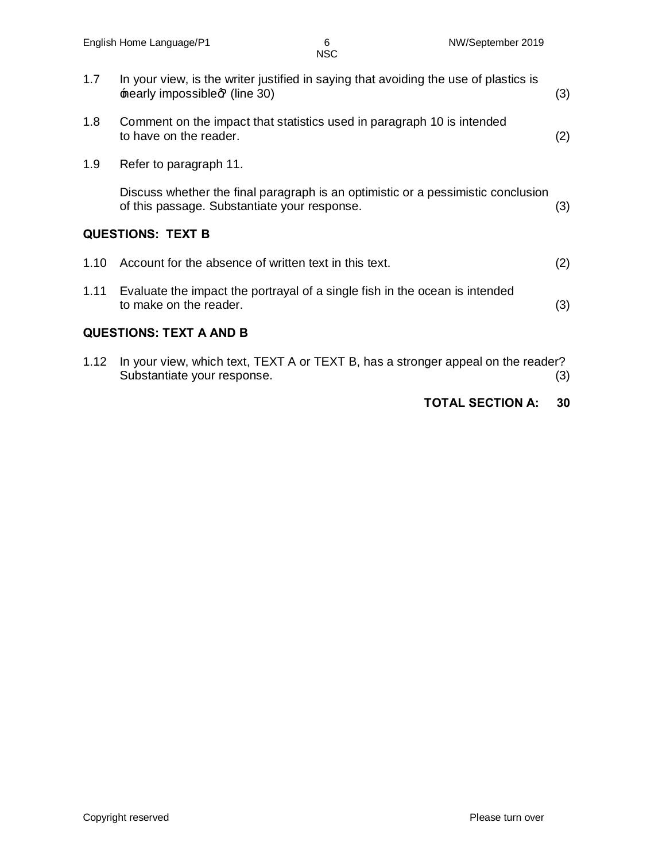| 1.7                            | In your view, is the writer justified in saying that avoiding the use of plastics is<br>nearly impossible of (line 30)           | (3) |  |
|--------------------------------|----------------------------------------------------------------------------------------------------------------------------------|-----|--|
|                                |                                                                                                                                  |     |  |
| 1.8                            | Comment on the impact that statistics used in paragraph 10 is intended<br>to have on the reader.                                 | (2) |  |
| 1.9                            | Refer to paragraph 11.                                                                                                           |     |  |
|                                | Discuss whether the final paragraph is an optimistic or a pessimistic conclusion<br>of this passage. Substantiate your response. | (3) |  |
| <b>QUESTIONS: TEXT B</b>       |                                                                                                                                  |     |  |
| 1.10                           | Account for the absence of written text in this text.                                                                            | (2) |  |
| 1.11                           | Evaluate the impact the portrayal of a single fish in the ocean is intended<br>to make on the reader.                            | (3) |  |
| <b>QUESTIONS: TEXT A AND B</b> |                                                                                                                                  |     |  |
| 1.12                           | In your view, which text, TEXT A or TEXT B, has a stronger appeal on the reader?                                                 |     |  |

Substantiate your response. (3)

#### **TOTAL SECTION A: 30**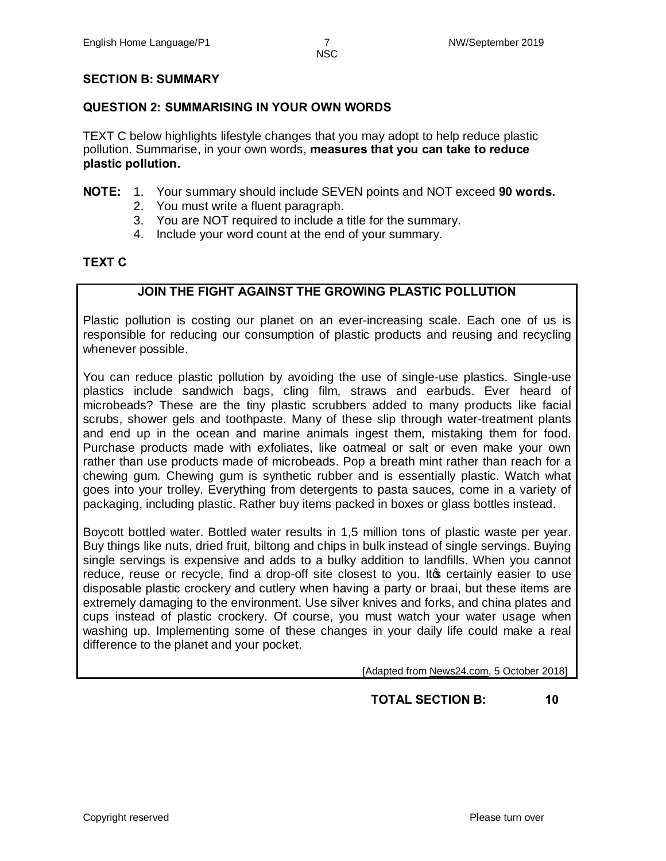#### **SECTION B: SUMMARY**

#### **QUESTION 2: SUMMARISING IN YOUR OWN WORDS**

TEXT C below highlights lifestyle changes that you may adopt to help reduce plastic pollution. Summarise, in your own words, **measures that you can take to reduce plastic pollution.**

#### **NOTE:** 1. Your summary should include SEVEN points and NOT exceed **90 words.**

- 2. You must write a fluent paragraph.
- 3. You are NOT required to include a title for the summary.
- 4. Include your word count at the end of your summary.

#### **TEXT C**

# **JOIN THE FIGHT AGAINST THE GROWING PLASTIC POLLUTION**

Plastic pollution is costing our planet on an ever-increasing scale. Each one of us is responsible for reducing our consumption of plastic products and reusing and recycling whenever possible.

You can reduce plastic pollution by avoiding the use of single-use plastics. Single-use plastics include sandwich bags, cling film, straws and earbuds. Ever heard of microbeads? These are the tiny plastic scrubbers added to many products like facial scrubs, shower gels and toothpaste. Many of these slip through water-treatment plants and end up in the ocean and marine animals ingest them, mistaking them for food. Purchase products made with exfoliates, like oatmeal or salt or even make your own rather than use products made of microbeads. Pop a breath mint rather than reach for a chewing gum. Chewing gum is synthetic rubber and is essentially plastic. Watch what goes into your trolley. Everything from detergents to pasta sauces, come in a variety of packaging, including plastic. Rather buy items packed in boxes or glass bottles instead.

Boycott bottled water. Bottled water results in 1,5 million tons of plastic waste per year. Buy things like nuts, dried fruit, biltong and chips in bulk instead of single servings. Buying single servings is expensive and adds to a bulky addition to landfills. When you cannot reduce, reuse or recycle, find a drop-off site closest to you. It to certainly easier to use disposable plastic crockery and cutlery when having a party or braai, but these items are extremely damaging to the environment. Use silver knives and forks, and china plates and cups instead of plastic crockery. Of course, you must watch your water usage when washing up. Implementing some of these changes in your daily life could make a real difference to the planet and your pocket.

[Adapted from News24.com, 5 October 2018]

# **TOTAL SECTION B: 10**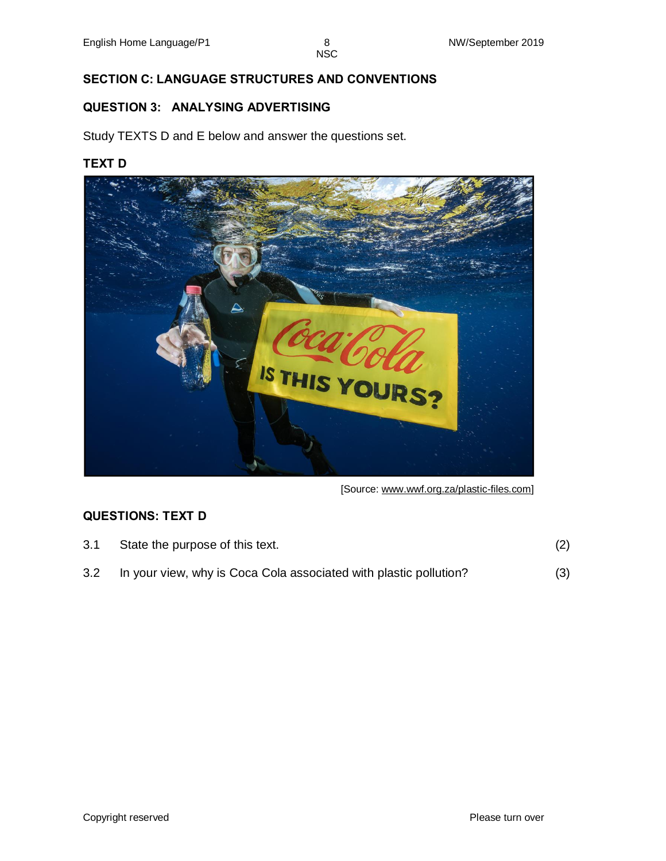# **SECTION C: LANGUAGE STRUCTURES AND CONVENTIONS**

#### **QUESTION 3: ANALYSING ADVERTISING**

Study TEXTS D and E below and answer the questions set.

### **TEXT D**



[Source: www.wwf.org.za/plastic-files.com]

# **QUESTIONS: TEXT D**

| 3.1 | State the purpose of this text.                                       | (2) |
|-----|-----------------------------------------------------------------------|-----|
|     | 3.2 In your view, why is Coca Cola associated with plastic pollution? | (3) |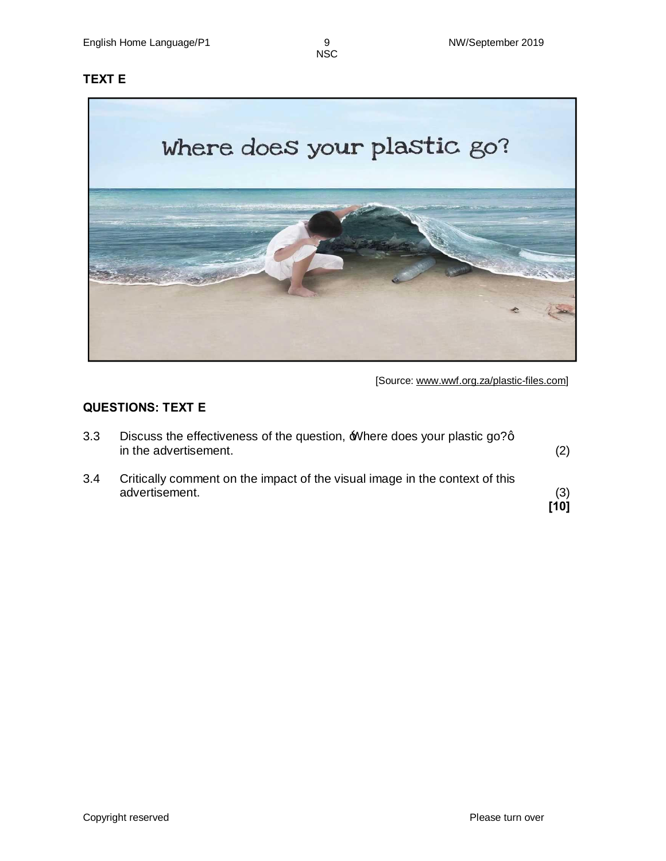# **TEXT E**



[Source: www.wwf.org.za/plastic-files.com]

# **QUESTIONS: TEXT E**

| 3.3 | Discuss the effectiveness of the question, Where does your plastic go?q<br>in the advertisement. | (2)         |
|-----|--------------------------------------------------------------------------------------------------|-------------|
| 3.4 | Critically comment on the impact of the visual image in the context of this<br>advertisement.    | (3)<br>[10] |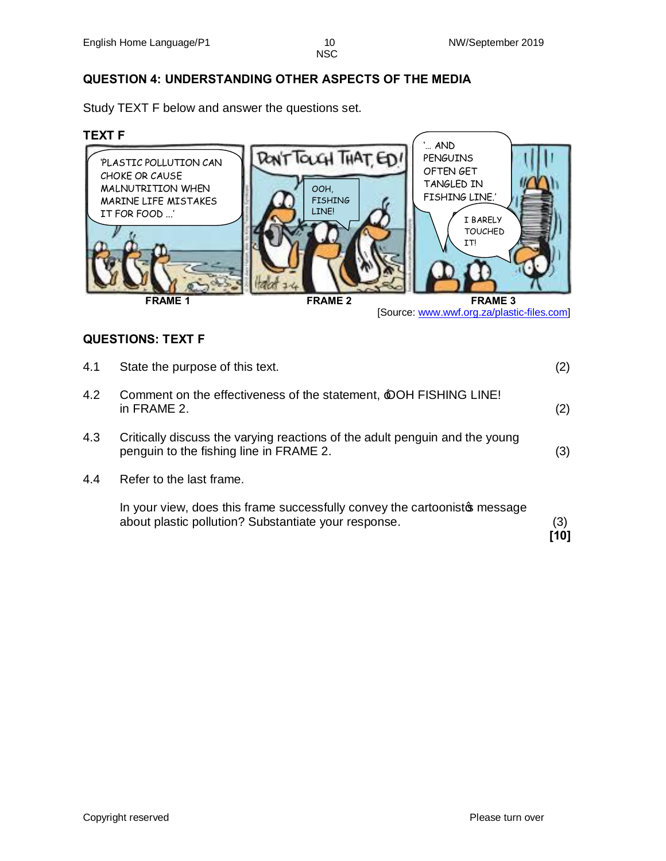# **QUESTION 4: UNDERSTANDING OTHER ASPECTS OF THE MEDIA**

Study TEXT F below and answer the questions set.

#### **TEXT F**



#### **QUESTIONS: TEXT F**

|     | In your view, does this frame successfully convey the cartoonisto message<br>about plastic pollution? Substantiate your response. | (3)<br>ี 101 |
|-----|-----------------------------------------------------------------------------------------------------------------------------------|--------------|
| 4.4 | Refer to the last frame.                                                                                                          |              |
| 4.3 | Critically discuss the varying reactions of the adult penguin and the young<br>penguin to the fishing line in FRAME 2.            | (3)          |
| 4.2 | Comment on the effectiveness of the statement, <b>OOH FISHING LINE!</b><br>in FRAME 2.                                            | (2)          |
| 4.1 | State the purpose of this text.                                                                                                   | (2)          |

Copyright reserved **Please turn over**  $\blacksquare$